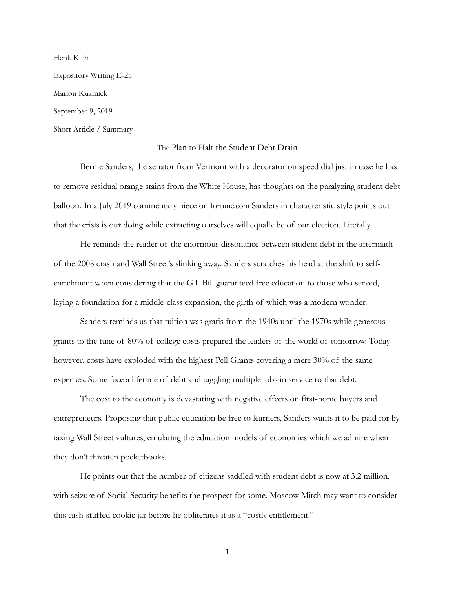Henk Klijn Expository Writing E-25 Marlon Kuzmick September 9, 2019 Short Article / Summary

## The Plan to Halt the Student Debt Drain

Bernie Sanders, the senator from Vermont with a decorator on speed dial just in case he has to remove residual orange stains from the White House, has thoughts on the paralyzing student debt balloon. In a July 2019 commentary piece on [fortune.com](http://fortune.com) Sanders in characteristic style points out that the crisis is our doing while extracting ourselves will equally be of our election. Literally.

He reminds the reader of the enormous dissonance between student debt in the aftermath of the 2008 crash and Wall Street's slinking away. Sanders scratches his head at the shift to selfenrichment when considering that the G.I. Bill guaranteed free education to those who served, laying a foundation for a middle-class expansion, the girth of which was a modern wonder.

Sanders reminds us that tuition was gratis from the 1940s until the 1970s while generous grants to the tune of 80% of college costs prepared the leaders of the world of tomorrow. Today however, costs have exploded with the highest Pell Grants covering a mere 30% of the same expenses. Some face a lifetime of debt and juggling multiple jobs in service to that debt.

The cost to the economy is devastating with negative effects on first-home buyers and entrepreneurs. Proposing that public education be free to learners, Sanders wants it to be paid for by taxing Wall Street vultures, emulating the education models of economies which we admire when they don't threaten pocketbooks.

He points out that the number of citizens saddled with student debt is now at 3.2 million, with seizure of Social Security benefits the prospect for some. Moscow Mitch may want to consider this cash-stuffed cookie jar before he obliterates it as a "costly entitlement."

1